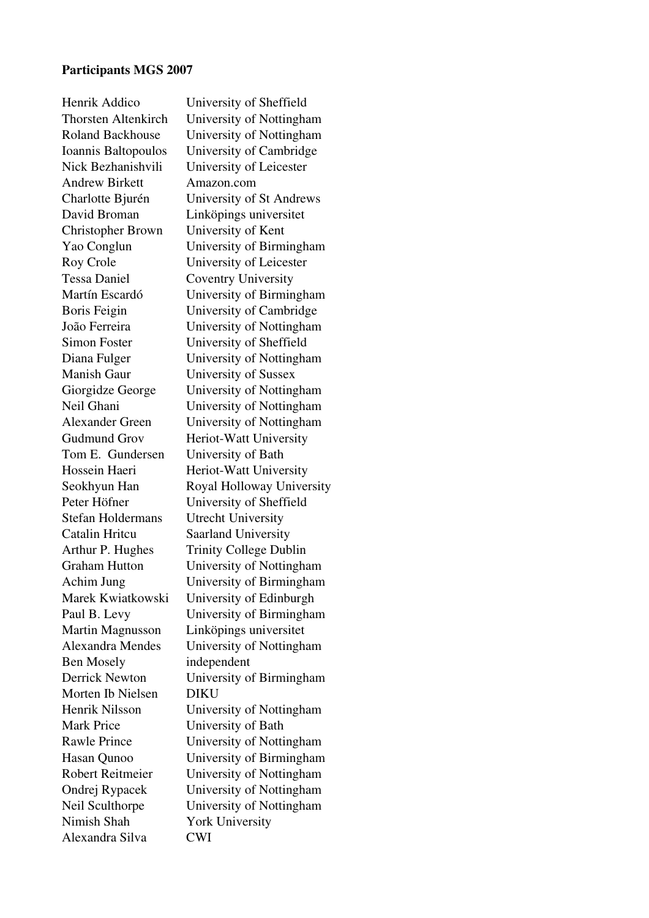## Participants MGS 2007

| University of Sheffield       |
|-------------------------------|
| University of Nottingham      |
| University of Nottingham      |
| University of Cambridge       |
| University of Leicester       |
| Amazon.com                    |
| University of St Andrews      |
| Linköpings universitet        |
| University of Kent            |
| University of Birmingham      |
| University of Leicester       |
| <b>Coventry University</b>    |
| University of Birmingham      |
| University of Cambridge       |
| University of Nottingham      |
| University of Sheffield       |
| University of Nottingham      |
| University of Sussex          |
| University of Nottingham      |
| University of Nottingham      |
| University of Nottingham      |
| Heriot-Watt University        |
| University of Bath            |
| Heriot-Watt University        |
| Royal Holloway Universit      |
| University of Sheffield       |
| <b>Utrecht University</b>     |
| <b>Saarland University</b>    |
| <b>Trinity College Dublin</b> |
| University of Nottingham      |
| University of Birmingham      |
| University of Edinburgh       |
| University of Birmingham      |
| Linköpings universitet        |
| University of Nottingham      |
| independent                   |
| University of Birmingham      |
| DIKU                          |
| University of Nottingham      |
| University of Bath            |
| University of Nottingham      |
| University of Birmingham      |
| University of Nottingham      |
|                               |
| University of Nottingham      |
| University of Nottingham      |
| <b>York University</b>        |
|                               |

Iottingham Iombridge eicester t Andrews versitet *Sirmingham* eicester ersity  $B$ irmingham Cambridge Iottingham heffield Iottingham ussex Iottingham Iottingham Iottingham iversity iversity y University heffield ersity Dublin Iottingham Achim Jung birming birmin dinburgh Birmingham wersitet Iottingham Birmingham Iottingham **Reading Prince Prince Prince Prince Prince Prince Prince Prince Prince Prince Prince Prince Prince Prince Pri**  $B$ irmingham Iottingham Iottingham Iottingham